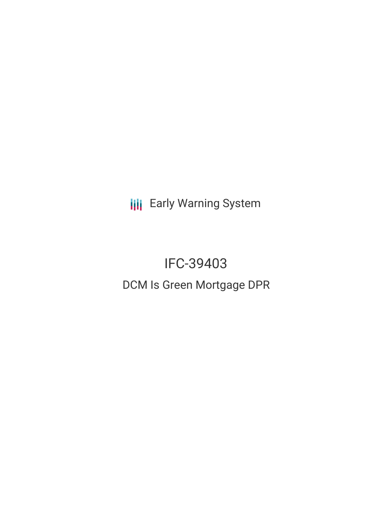**III** Early Warning System

# IFC-39403 DCM Is Green Mortgage DPR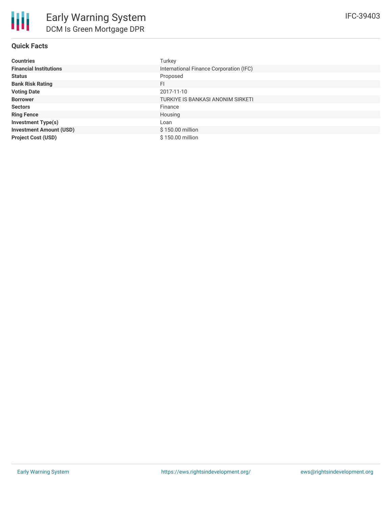#### **Quick Facts**

| <b>Countries</b>               | Turkey                                  |
|--------------------------------|-----------------------------------------|
| <b>Financial Institutions</b>  | International Finance Corporation (IFC) |
| <b>Status</b>                  | Proposed                                |
| <b>Bank Risk Rating</b>        | FI                                      |
| <b>Voting Date</b>             | 2017-11-10                              |
| <b>Borrower</b>                | TURKIYE IS BANKASI ANONIM SIRKETI       |
| <b>Sectors</b>                 | Finance                                 |
| <b>Ring Fence</b>              | Housing                                 |
| <b>Investment Type(s)</b>      | Loan                                    |
| <b>Investment Amount (USD)</b> | \$150.00 million                        |
| <b>Project Cost (USD)</b>      | \$150.00 million                        |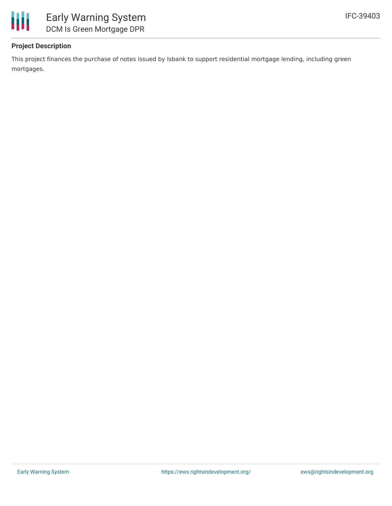

#### **Project Description**

This project finances the purchase of notes issued by Isbank to support residential mortgage lending, including green mortgages.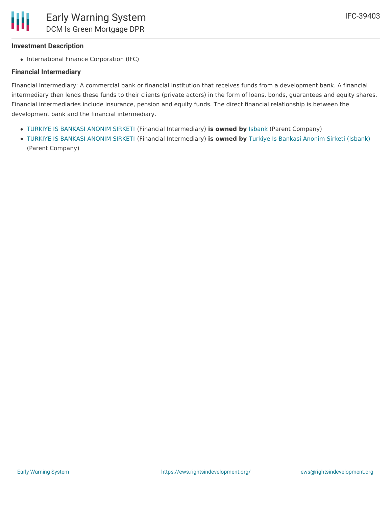#### **Investment Description**

• International Finance Corporation (IFC)

#### **Financial Intermediary**

Financial Intermediary: A commercial bank or financial institution that receives funds from a development bank. A financial intermediary then lends these funds to their clients (private actors) in the form of loans, bonds, guarantees and equity shares. Financial intermediaries include insurance, pension and equity funds. The direct financial relationship is between the development bank and the financial intermediary.

- TURKIYE IS [BANKASI](file:///actor/3499/) ANONIM SIRKETI (Financial Intermediary) **is owned by** [Isbank](file:///actor/3548/) (Parent Company)
- TURKIYE IS [BANKASI](file:///actor/3499/) ANONIM SIRKETI (Financial Intermediary) **is owned by** Turkiye Is Bankasi Anonim Sirketi [\(Isbank\)](file:///actor/174/) (Parent Company)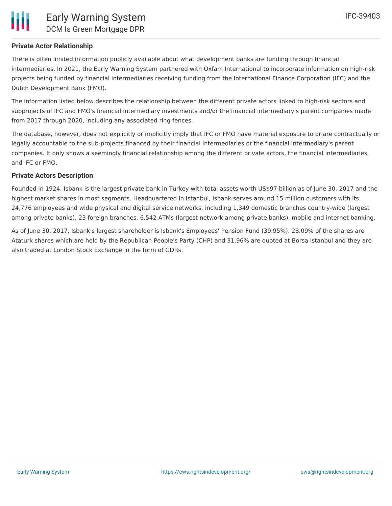#### **Private Actor Relationship**

There is often limited information publicly available about what development banks are funding through financial intermediaries. In 2021, the Early Warning System partnered with Oxfam International to incorporate information on high-risk projects being funded by financial intermediaries receiving funding from the International Finance Corporation (IFC) and the Dutch Development Bank (FMO).

The information listed below describes the relationship between the different private actors linked to high-risk sectors and subprojects of IFC and FMO's financial intermediary investments and/or the financial intermediary's parent companies made from 2017 through 2020, including any associated ring fences.

The database, however, does not explicitly or implicitly imply that IFC or FMO have material exposure to or are contractually or legally accountable to the sub-projects financed by their financial intermediaries or the financial intermediary's parent companies. It only shows a seemingly financial relationship among the different private actors, the financial intermediaries, and IFC or FMO.

#### **Private Actors Description**

Founded in 1924, Isbank is the largest private bank in Turkey with total assets worth US\$97 billion as of June 30, 2017 and the highest market shares in most segments. Headquartered in Istanbul, Isbank serves around 15 million customers with its 24,776 employees and wide physical and digital service networks, including 1,349 domestic branches country-wide (largest among private banks), 23 foreign branches, 6,542 ATMs (largest network among private banks), mobile and internet banking.

As of June 30, 2017, Isbank's largest shareholder is Isbank's Employees' Pension Fund (39.95%). 28.09% of the shares are Ataturk shares which are held by the Republican People's Party (CHP) and 31.96% are quoted at Borsa Istanbul and they are also traded at London Stock Exchange in the form of GDRs.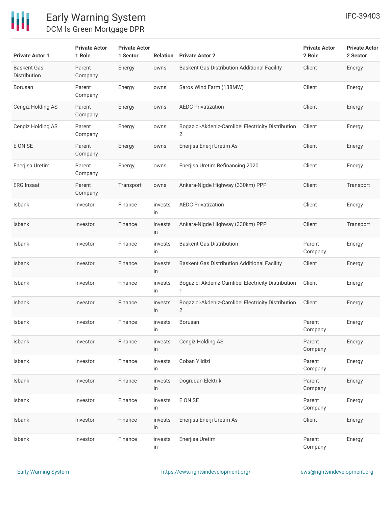

## Early Warning System DCM Is Green Mortgage DPR

| <b>Private Actor 1</b>             | <b>Private Actor</b><br>1 Role | <b>Private Actor</b><br>1 Sector | Relation      | <b>Private Actor 2</b>                                  | <b>Private Actor</b><br>2 Role | <b>Private Actor</b><br>2 Sector |
|------------------------------------|--------------------------------|----------------------------------|---------------|---------------------------------------------------------|--------------------------------|----------------------------------|
| <b>Baskent Gas</b><br>Distribution | Parent<br>Company              | Energy                           | owns          | <b>Baskent Gas Distribution Additional Facility</b>     | Client                         | Energy                           |
| Borusan                            | Parent<br>Company              | Energy                           | owns          | Saros Wind Farm (138MW)                                 | Client                         | Energy                           |
| Cengiz Holding AS                  | Parent<br>Company              | Energy                           | owns          | <b>AEDC Privatization</b>                               | Client                         | Energy                           |
| Cengiz Holding AS                  | Parent<br>Company              | Energy                           | owns          | Bogazici-Akdeniz-Camlibel Electricity Distribution<br>2 | Client                         | Energy                           |
| E ON SE                            | Parent<br>Company              | Energy                           | owns          | Enerjisa Enerji Uretim As                               | Client                         | Energy                           |
| Enerjisa Uretim                    | Parent<br>Company              | Energy                           | owns          | Enerjisa Uretim Refinancing 2020                        | Client                         | Energy                           |
| <b>ERG Insaat</b>                  | Parent<br>Company              | Transport                        | owns          | Ankara-Nigde Highway (330km) PPP                        | Client                         | Transport                        |
| Isbank                             | Investor                       | Finance                          | invests<br>in | <b>AEDC Privatization</b>                               | Client                         | Energy                           |
| Isbank                             | Investor                       | Finance                          | invests<br>in | Ankara-Nigde Highway (330km) PPP                        | Client                         | Transport                        |
| Isbank                             | Investor                       | Finance                          | invests<br>in | <b>Baskent Gas Distribution</b>                         | Parent<br>Company              | Energy                           |
| Isbank                             | Investor                       | Finance                          | invests<br>in | <b>Baskent Gas Distribution Additional Facility</b>     | Client                         | Energy                           |
| <b>Isbank</b>                      | Investor                       | Finance                          | invests<br>in | Bogazici-Akdeniz-Camlibel Electricity Distribution<br>1 | Client                         | Energy                           |
| Isbank                             | Investor                       | Finance                          | invests<br>in | Bogazici-Akdeniz-Camlibel Electricity Distribution<br>2 | Client                         | Energy                           |
| <b>Isbank</b>                      | Investor                       | Finance                          | invests<br>in | Borusan                                                 | Parent<br>Company              | Energy                           |
| Isbank                             | Investor                       | Finance                          | invests<br>in | Cengiz Holding AS                                       | Parent<br>Company              | Energy                           |
| Isbank                             | Investor                       | Finance                          | invests<br>in | Coban Yildizi                                           | Parent<br>Company              | Energy                           |
| Isbank                             | Investor                       | Finance                          | invests<br>in | Dogrudan Elektrik                                       | Parent<br>Company              | Energy                           |
| Isbank                             | Investor                       | Finance                          | invests<br>in | E ON SE                                                 | Parent<br>Company              | Energy                           |
| Isbank                             | Investor                       | Finance                          | invests<br>in | Enerjisa Enerji Uretim As                               | Client                         | Energy                           |
| Isbank                             | Investor                       | Finance                          | invests<br>in | Enerjisa Uretim                                         | Parent<br>Company              | Energy                           |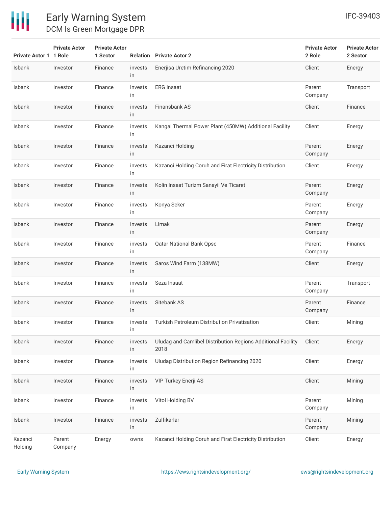

# Early Warning System DCM Is Green Mortgage DPR

**Private Actor**

**Private Actor**

| <b>Private Actor 1 1 Role</b> |                   | 1 Sector |               | <b>Relation</b> Private Actor 2                                      | 2 Role            | 2 Sector  |
|-------------------------------|-------------------|----------|---------------|----------------------------------------------------------------------|-------------------|-----------|
| Isbank                        | Investor          | Finance  | invests<br>in | Enerjisa Uretim Refinancing 2020                                     | Client            | Energy    |
| Isbank                        | Investor          | Finance  | invests<br>in | <b>ERG</b> Insaat                                                    | Parent<br>Company | Transport |
| Isbank                        | Investor          | Finance  | invests<br>in | Finansbank AS                                                        | Client            | Finance   |
| Isbank                        | Investor          | Finance  | invests<br>in | Kangal Thermal Power Plant (450MW) Additional Facility               | Client            | Energy    |
| Isbank                        | Investor          | Finance  | invests<br>in | Kazanci Holding                                                      | Parent<br>Company | Energy    |
| Isbank                        | Investor          | Finance  | invests<br>in | Kazanci Holding Coruh and Firat Electricity Distribution             | Client            | Energy    |
| <b>Isbank</b>                 | Investor          | Finance  | invests<br>in | Kolin Insaat Turizm Sanayii Ve Ticaret                               | Parent<br>Company | Energy    |
| Isbank                        | Investor          | Finance  | invests<br>in | Konya Seker                                                          | Parent<br>Company | Energy    |
| Isbank                        | Investor          | Finance  | invests<br>in | Limak                                                                | Parent<br>Company | Energy    |
| Isbank                        | Investor          | Finance  | invests<br>in | <b>Qatar National Bank Qpsc</b>                                      | Parent<br>Company | Finance   |
| Isbank                        | Investor          | Finance  | invests<br>in | Saros Wind Farm (138MW)                                              | Client            | Energy    |
| Isbank                        | Investor          | Finance  | invests<br>in | Seza Insaat                                                          | Parent<br>Company | Transport |
| Isbank                        | Investor          | Finance  | invests<br>in | Sitebank AS                                                          | Parent<br>Company | Finance   |
| <b>Isbank</b>                 | Investor          | Finance  | invests<br>in | Turkish Petroleum Distribution Privatisation                         | Client            | Mining    |
| Isbank                        | Investor          | Finance  | invests<br>in | Uludag and Camlibel Distribution Regions Additional Facility<br>2018 | Client            | Energy    |
| Isbank                        | Investor          | Finance  | invests<br>in | Uludag Distribution Region Refinancing 2020                          | Client            | Energy    |
| Isbank                        | Investor          | Finance  | invests<br>in | VIP Turkey Enerji AS                                                 | Client            | Mining    |
| Isbank                        | Investor          | Finance  | invests<br>in | Vitol Holding BV                                                     | Parent<br>Company | Mining    |
| Isbank                        | Investor          | Finance  | invests<br>in | Zulfikarlar                                                          | Parent<br>Company | Mining    |
| Kazanci<br>Holding            | Parent<br>Company | Energy   | owns          | Kazanci Holding Coruh and Firat Electricity Distribution             | Client            | Energy    |

**Private Actor**

**Private Actor**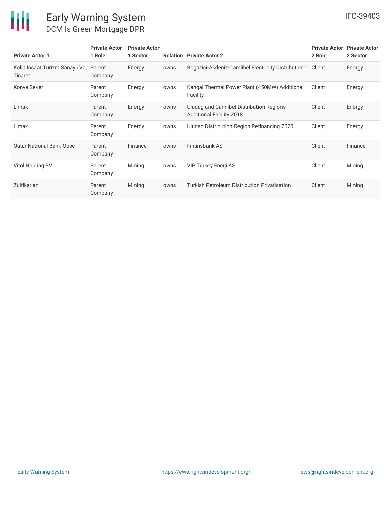

## Early Warning System DCM Is Green Mortgage DPR

| <b>Private Actor 1</b>                           | <b>Private Actor</b><br>1 Role | <b>Private Actor</b><br>1 Sector |      | <b>Relation</b> Private Actor 2                                             | <b>Private Actor</b><br>2 Role | <b>Private Actor</b><br>2 Sector |
|--------------------------------------------------|--------------------------------|----------------------------------|------|-----------------------------------------------------------------------------|--------------------------------|----------------------------------|
| Kolin Insaat Turizm Sanayii Ve<br><b>Ticaret</b> | Parent<br>Company              | Energy                           | owns | Bogazici-Akdeniz-Camlibel Electricity Distribution 1 Client                 |                                | Energy                           |
| Konya Seker                                      | Parent<br>Company              | Energy                           | owns | Kangal Thermal Power Plant (450MW) Additional<br>Facility                   | Client                         | Energy                           |
| Limak                                            | Parent<br>Company              | Energy                           | owns | Uludag and Camlibel Distribution Regions<br><b>Additional Facility 2018</b> | Client                         | Energy                           |
| Limak                                            | Parent<br>Company              | Energy                           | owns | Uludag Distribution Region Refinancing 2020                                 | Client                         | Energy                           |
| <b>Qatar National Bank Qpsc</b>                  | Parent<br>Company              | Finance                          | owns | Finansbank AS                                                               | Client                         | Finance                          |
| Vitol Holding BV                                 | Parent<br>Company              | Mining                           | owns | <b>VIP Turkey Enerji AS</b>                                                 | Client                         | Mining                           |
| Zulfikarlar                                      | Parent<br>Company              | Mining                           | owns | Turkish Petroleum Distribution Privatisation                                | Client                         | Mining                           |